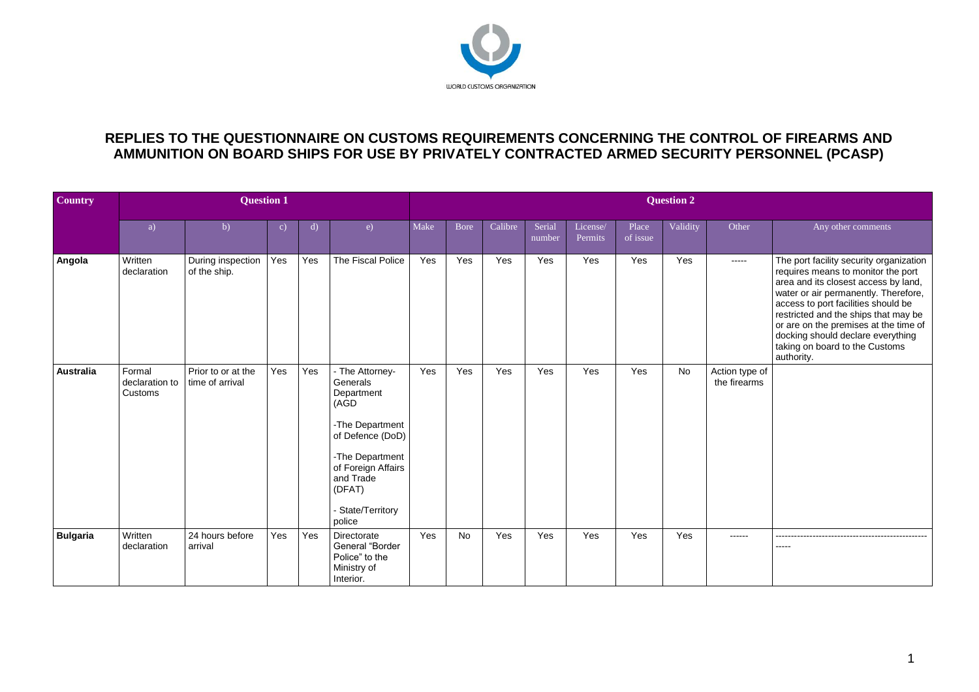

## **REPLIES TO THE QUESTIONNAIRE ON CUSTOMS REQUIREMENTS CONCERNING THE CONTROL OF FIREARMS AND AMMUNITION ON BOARD SHIPS FOR USE BY PRIVATELY CONTRACTED ARMED SECURITY PERSONNEL (PCASP)**

| <b>Country</b>   |                                     | <b>Question 2</b>                     |              |     |                                                                                                                                                                                       |      |             |         |                  |                     |                   |          |                                |                                                                                                                                                                                                                                                                                                                                                                            |
|------------------|-------------------------------------|---------------------------------------|--------------|-----|---------------------------------------------------------------------------------------------------------------------------------------------------------------------------------------|------|-------------|---------|------------------|---------------------|-------------------|----------|--------------------------------|----------------------------------------------------------------------------------------------------------------------------------------------------------------------------------------------------------------------------------------------------------------------------------------------------------------------------------------------------------------------------|
|                  | a)                                  | b)                                    | $\mathbf{c}$ | d)  | e)                                                                                                                                                                                    | Make | <b>Bore</b> | Calibre | Serial<br>number | License/<br>Permits | Place<br>of issue | Validity | Other                          | Any other comments                                                                                                                                                                                                                                                                                                                                                         |
| Angola           | Written<br>declaration              | During inspection<br>of the ship.     | Yes          | Yes | The Fiscal Police                                                                                                                                                                     | Yes  | Yes         | Yes     | Yes              | Yes                 | Yes               | Yes      | -----                          | The port facility security organization<br>requires means to monitor the port<br>area and its closest access by land,<br>water or air permanently. Therefore,<br>access to port facilities should be<br>restricted and the ships that may be<br>or are on the premises at the time of<br>docking should declare everything<br>taking on board to the Customs<br>authority. |
| <b>Australia</b> | Formal<br>declaration to<br>Customs | Prior to or at the<br>time of arrival | Yes          | Yes | - The Attorney-<br>Generals<br>Department<br>(AGD<br>-The Department<br>of Defence (DoD)<br>-The Department<br>of Foreign Affairs<br>and Trade<br>(DFAT)<br>State/Territory<br>police | Yes  | Yes         | Yes     | Yes              | Yes                 | Yes               | No       | Action type of<br>the firearms |                                                                                                                                                                                                                                                                                                                                                                            |
| <b>Bulgaria</b>  | Written<br>declaration              | 24 hours before<br>arrival            | Yes          | Yes | Directorate<br>General "Border<br>Police" to the<br>Ministry of<br>Interior.                                                                                                          | Yes  | No          | Yes     | Yes              | Yes                 | Yes               | Yes      | ------                         | -------------------------------<br>-----                                                                                                                                                                                                                                                                                                                                   |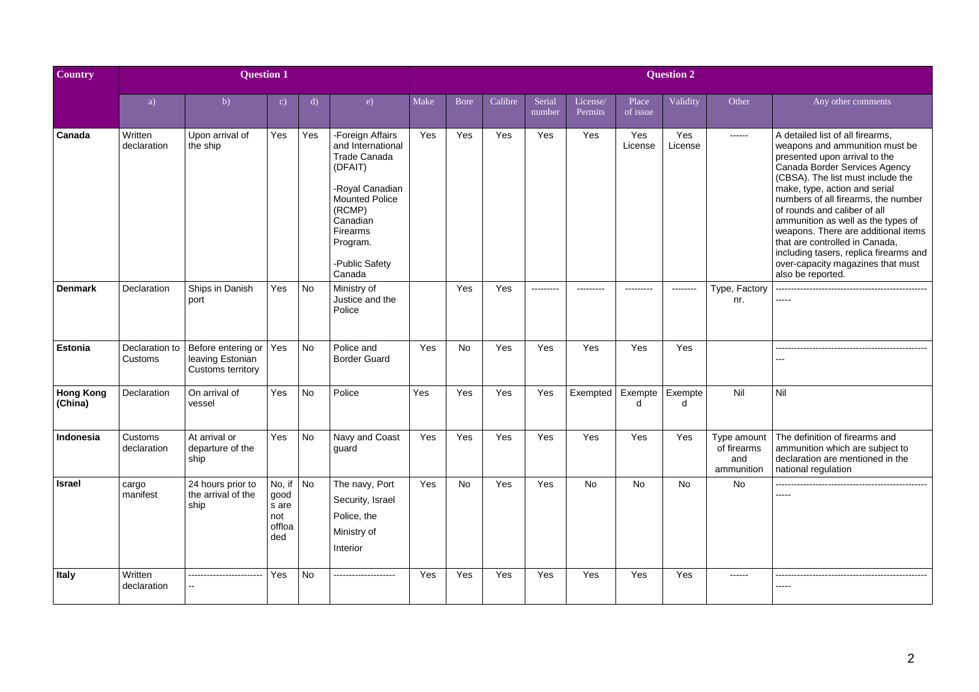| Country                     |                           | <b>Question 2</b>                                           |                                                 |           |                                                                                                                                                                                        |      |              |         |                  |                     |                   |                |                                                 |                                                                                                                                                                                                                                                                                                                                                                                                                                                                                                      |
|-----------------------------|---------------------------|-------------------------------------------------------------|-------------------------------------------------|-----------|----------------------------------------------------------------------------------------------------------------------------------------------------------------------------------------|------|--------------|---------|------------------|---------------------|-------------------|----------------|-------------------------------------------------|------------------------------------------------------------------------------------------------------------------------------------------------------------------------------------------------------------------------------------------------------------------------------------------------------------------------------------------------------------------------------------------------------------------------------------------------------------------------------------------------------|
|                             | a)                        | b)                                                          | $\mathbf{c}$                                    | d)        | e)                                                                                                                                                                                     | Make | <b>B</b> ore | Calibre | Serial<br>number | License/<br>Permits | Place<br>of issue | Validity       | Other                                           | Any other comments                                                                                                                                                                                                                                                                                                                                                                                                                                                                                   |
| Canada                      | Written<br>declaration    | Upon arrival of<br>the ship                                 | Yes                                             | Yes       | -Foreign Affairs<br>and International<br>Trade Canada<br>(DFAIT)<br>-Royal Canadian<br><b>Mounted Police</b><br>(RCMP)<br>Canadian<br>Firearms<br>Program.<br>-Public Safety<br>Canada | Yes  | Yes          | Yes     | Yes              | Yes                 | Yes<br>License    | Yes<br>License | ------                                          | A detailed list of all firearms,<br>weapons and ammunition must be<br>presented upon arrival to the<br>Canada Border Services Agency<br>(CBSA). The list must include the<br>make, type, action and serial<br>numbers of all firearms, the number<br>of rounds and caliber of all<br>ammunition as well as the types of<br>weapons. There are additional items<br>that are controlled in Canada,<br>including tasers, replica firearms and<br>over-capacity magazines that must<br>also be reported. |
| <b>Denmark</b>              | Declaration               | Ships in Danish<br>port                                     | Yes                                             | <b>No</b> | Ministry of<br>Justice and the<br>Police                                                                                                                                               |      | Yes          | Yes     | ---------        | ---------           | ---------         | --------       | Type, Factory<br>nr.                            | -----                                                                                                                                                                                                                                                                                                                                                                                                                                                                                                |
| Estonia                     | Declaration to<br>Customs | Before entering or<br>leaving Estonian<br>Customs territory | Yes                                             | No        | Police and<br><b>Border Guard</b>                                                                                                                                                      | Yes  | <b>No</b>    | Yes     | Yes              | Yes                 | Yes               | Yes            |                                                 |                                                                                                                                                                                                                                                                                                                                                                                                                                                                                                      |
| <b>Hong Kong</b><br>(China) | Declaration               | On arrival of<br>vessel                                     | Yes                                             | <b>No</b> | Police                                                                                                                                                                                 | Yes  | Yes          | Yes     | Yes              | Exempted            | Exempte<br>d      | Exempte<br>d   | Nil                                             | Nil                                                                                                                                                                                                                                                                                                                                                                                                                                                                                                  |
| Indonesia                   | Customs<br>declaration    | At arrival or<br>departure of the<br>ship                   | Yes                                             | <b>No</b> | Navy and Coast<br>guard                                                                                                                                                                | Yes  | <b>Yes</b>   | Yes     | Yes              | Yes                 | Yes               | Yes            | Type amount<br>of firearms<br>and<br>ammunition | The definition of firearms and<br>ammunition which are subject to<br>declaration are mentioned in the<br>national regulation                                                                                                                                                                                                                                                                                                                                                                         |
| <b>Israel</b>               | cargo<br>manifest         | 24 hours prior to<br>the arrival of the<br>ship             | No, if<br>good<br>s are<br>not<br>offloa<br>ded | No        | The navy, Port<br>Security, Israel<br>Police, the<br>Ministry of<br>Interior                                                                                                           | Yes  | <b>No</b>    | Yes     | Yes              | No                  | No                | No             | No                                              | -----                                                                                                                                                                                                                                                                                                                                                                                                                                                                                                |
| Italy                       | Written<br>declaration    |                                                             | Yes                                             | <b>No</b> |                                                                                                                                                                                        | Yes  | Yes          | Yes     | Yes              | Yes                 | Yes               | Yes            |                                                 | ----                                                                                                                                                                                                                                                                                                                                                                                                                                                                                                 |